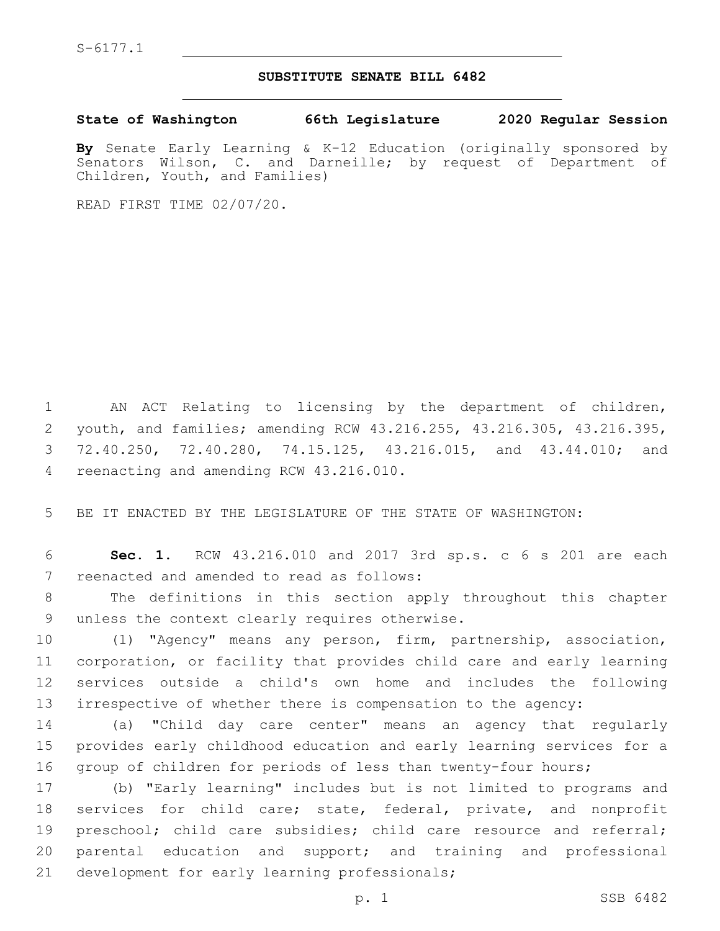S-6177.1

## **SUBSTITUTE SENATE BILL 6482**

**State of Washington 66th Legislature 2020 Regular Session**

**By** Senate Early Learning & K-12 Education (originally sponsored by Senators Wilson, C. and Darneille; by request of Department of Children, Youth, and Families)

READ FIRST TIME 02/07/20.

 AN ACT Relating to licensing by the department of children, youth, and families; amending RCW 43.216.255, 43.216.305, 43.216.395, 72.40.250, 72.40.280, 74.15.125, 43.216.015, and 43.44.010; and 4 reenacting and amending RCW 43.216.010.

5 BE IT ENACTED BY THE LEGISLATURE OF THE STATE OF WASHINGTON:

6 **Sec. 1.** RCW 43.216.010 and 2017 3rd sp.s. c 6 s 201 are each 7 reenacted and amended to read as follows:

8 The definitions in this section apply throughout this chapter 9 unless the context clearly requires otherwise.

 (1) "Agency" means any person, firm, partnership, association, corporation, or facility that provides child care and early learning services outside a child's own home and includes the following irrespective of whether there is compensation to the agency:

14 (a) "Child day care center" means an agency that regularly 15 provides early childhood education and early learning services for a 16 group of children for periods of less than twenty-four hours;

17 (b) "Early learning" includes but is not limited to programs and 18 services for child care; state, federal, private, and nonprofit 19 preschool; child care subsidies; child care resource and referral; 20 parental education and support; and training and professional 21 development for early learning professionals;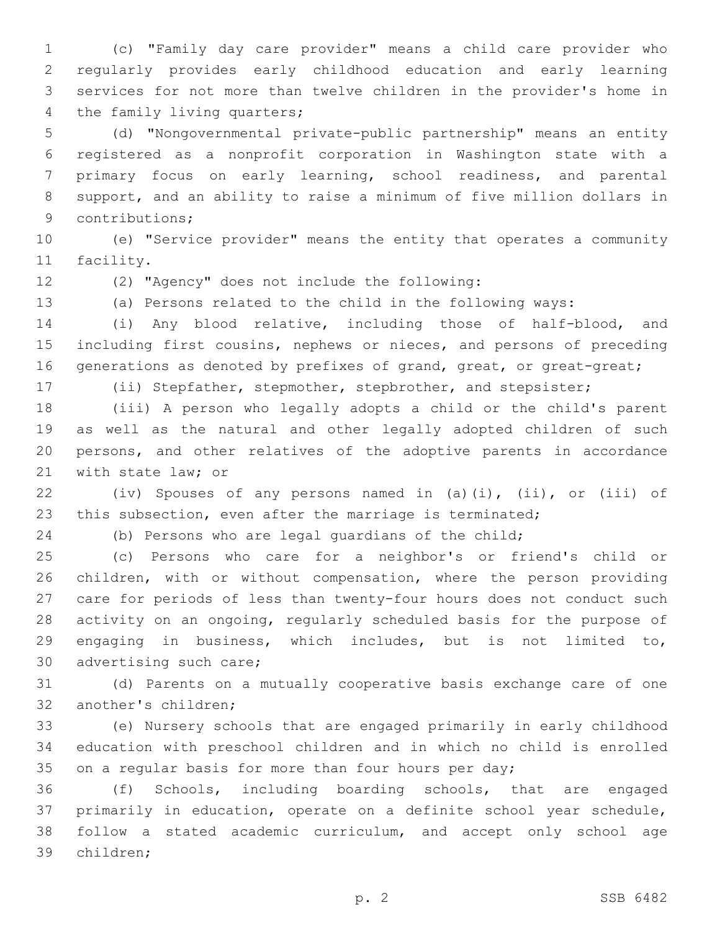(c) "Family day care provider" means a child care provider who regularly provides early childhood education and early learning services for not more than twelve children in the provider's home in 4 the family living quarters;

 (d) "Nongovernmental private-public partnership" means an entity registered as a nonprofit corporation in Washington state with a primary focus on early learning, school readiness, and parental support, and an ability to raise a minimum of five million dollars in 9 contributions;

 (e) "Service provider" means the entity that operates a community 11 facility.

(2) "Agency" does not include the following:12

(a) Persons related to the child in the following ways:

 (i) Any blood relative, including those of half-blood, and including first cousins, nephews or nieces, and persons of preceding 16 generations as denoted by prefixes of grand, great, or great-great;

(ii) Stepfather, stepmother, stepbrother, and stepsister;

 (iii) A person who legally adopts a child or the child's parent as well as the natural and other legally adopted children of such persons, and other relatives of the adoptive parents in accordance 21 with state law; or

 (iv) Spouses of any persons named in (a)(i), (ii), or (iii) of this subsection, even after the marriage is terminated;

(b) Persons who are legal guardians of the child;

 (c) Persons who care for a neighbor's or friend's child or children, with or without compensation, where the person providing care for periods of less than twenty-four hours does not conduct such activity on an ongoing, regularly scheduled basis for the purpose of engaging in business, which includes, but is not limited to, 30 advertising such care;

 (d) Parents on a mutually cooperative basis exchange care of one 32 another's children;

 (e) Nursery schools that are engaged primarily in early childhood education with preschool children and in which no child is enrolled 35 on a regular basis for more than four hours per day;

 (f) Schools, including boarding schools, that are engaged primarily in education, operate on a definite school year schedule, follow a stated academic curriculum, and accept only school age 39 children;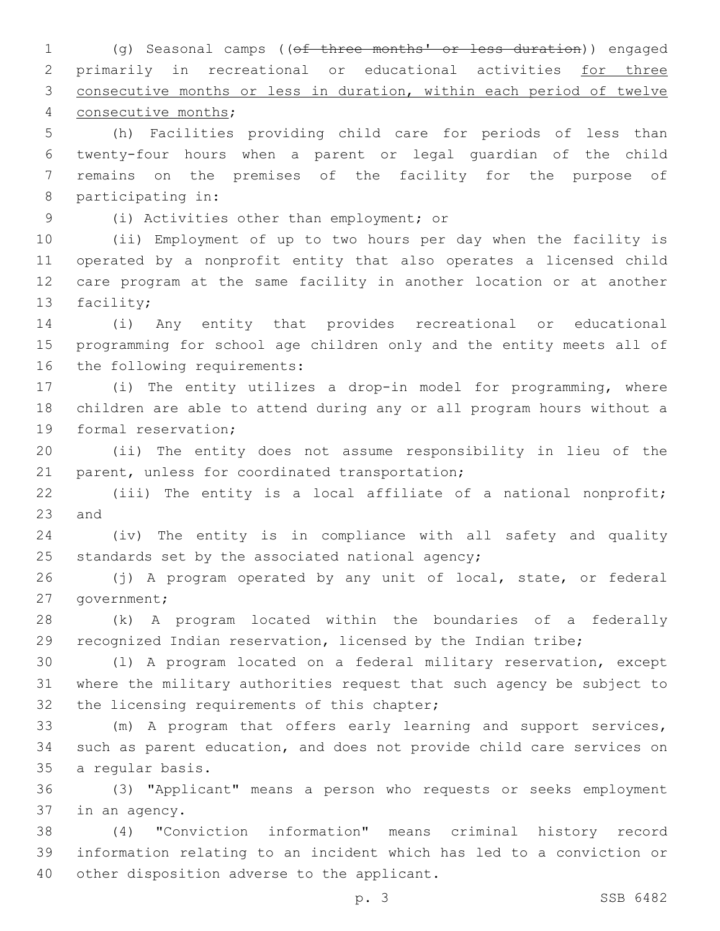(g) Seasonal camps ((of three months' or less duration)) engaged primarily in recreational or educational activities for three consecutive months or less in duration, within each period of twelve 4 consecutive months; (h) Facilities providing child care for periods of less than twenty-four hours when a parent or legal guardian of the child remains on the premises of the facility for the purpose of 8 participating in: (i) Activities other than employment; or9 (ii) Employment of up to two hours per day when the facility is operated by a nonprofit entity that also operates a licensed child care program at the same facility in another location or at another 13 facility; (i) Any entity that provides recreational or educational programming for school age children only and the entity meets all of 16 the following requirements: (i) The entity utilizes a drop-in model for programming, where children are able to attend during any or all program hours without a 19 formal reservation; (ii) The entity does not assume responsibility in lieu of the 21 parent, unless for coordinated transportation; (iii) The entity is a local affiliate of a national nonprofit; 23 and (iv) The entity is in compliance with all safety and quality 25 standards set by the associated national agency; (j) A program operated by any unit of local, state, or federal 27 government; (k) A program located within the boundaries of a federally recognized Indian reservation, licensed by the Indian tribe; (l) A program located on a federal military reservation, except where the military authorities request that such agency be subject to 32 the licensing requirements of this chapter; (m) A program that offers early learning and support services, such as parent education, and does not provide child care services on 35 a regular basis. (3) "Applicant" means a person who requests or seeks employment 37 in an agency. (4) "Conviction information" means criminal history record information relating to an incident which has led to a conviction or 40 other disposition adverse to the applicant. p. 3 SSB 6482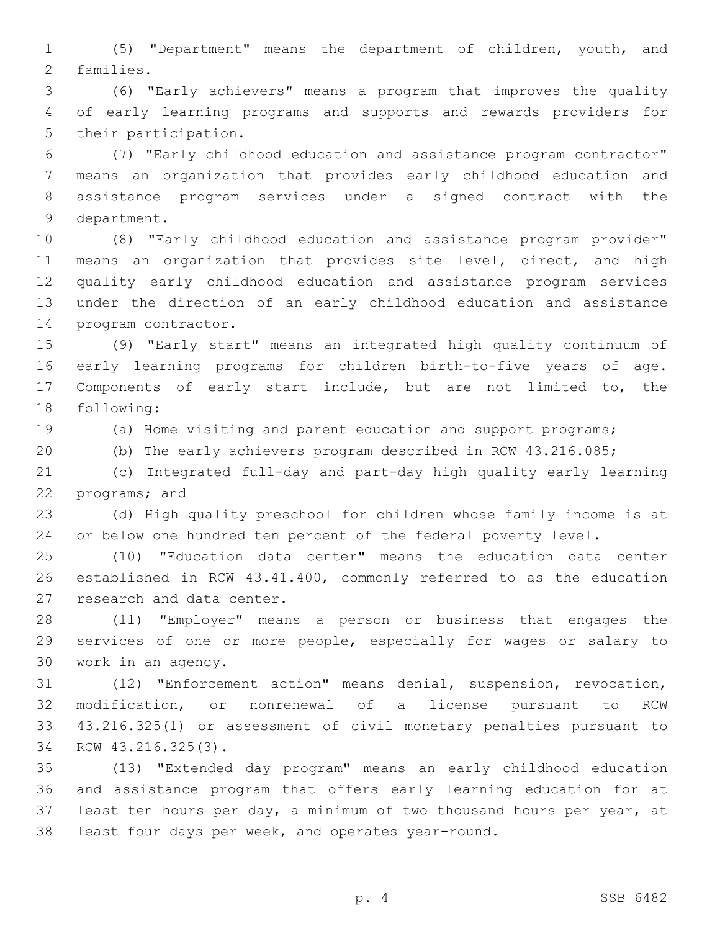(5) "Department" means the department of children, youth, and 2 families.

 (6) "Early achievers" means a program that improves the quality of early learning programs and supports and rewards providers for 5 their participation.

 (7) "Early childhood education and assistance program contractor" means an organization that provides early childhood education and assistance program services under a signed contract with the 9 department.

 (8) "Early childhood education and assistance program provider" means an organization that provides site level, direct, and high quality early childhood education and assistance program services under the direction of an early childhood education and assistance 14 program contractor.

 (9) "Early start" means an integrated high quality continuum of early learning programs for children birth-to-five years of age. Components of early start include, but are not limited to, the 18 following:

(a) Home visiting and parent education and support programs;

(b) The early achievers program described in RCW 43.216.085;

 (c) Integrated full-day and part-day high quality early learning 22 programs; and

 (d) High quality preschool for children whose family income is at or below one hundred ten percent of the federal poverty level.

 (10) "Education data center" means the education data center established in RCW 43.41.400, commonly referred to as the education 27 research and data center.

 (11) "Employer" means a person or business that engages the services of one or more people, especially for wages or salary to 30 work in an agency.

 (12) "Enforcement action" means denial, suspension, revocation, modification, or nonrenewal of a license pursuant to RCW 43.216.325(1) or assessment of civil monetary penalties pursuant to 34 RCW 43.216.325(3).

 (13) "Extended day program" means an early childhood education and assistance program that offers early learning education for at least ten hours per day, a minimum of two thousand hours per year, at least four days per week, and operates year-round.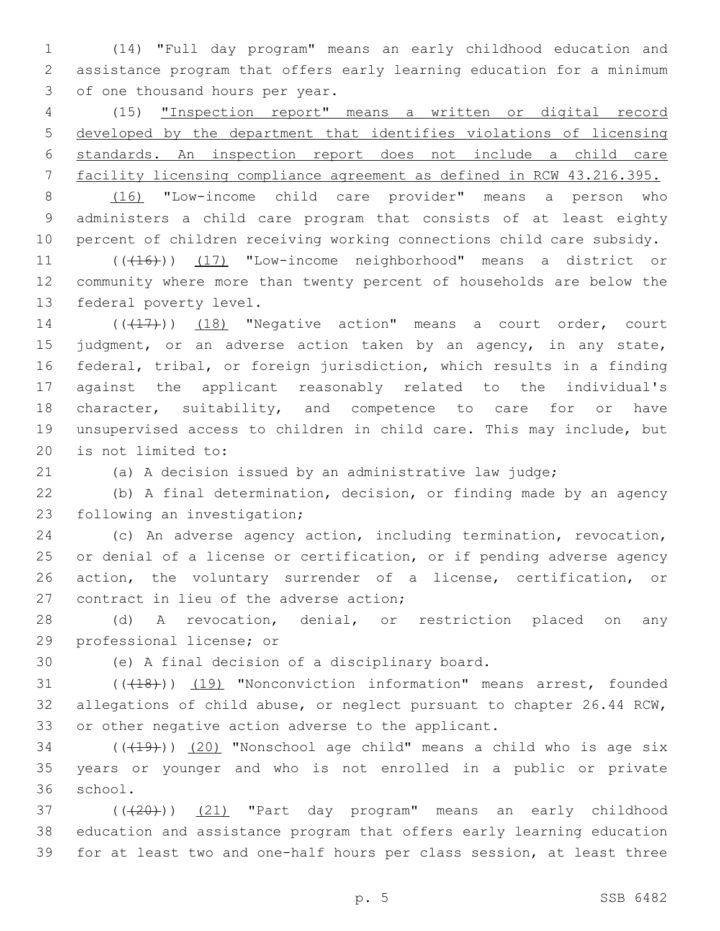(14) "Full day program" means an early childhood education and assistance program that offers early learning education for a minimum 3 of one thousand hours per year.

 (15) "Inspection report" means a written or digital record developed by the department that identifies violations of licensing standards. An inspection report does not include a child care facility licensing compliance agreement as defined in RCW 43.216.395.

 (16) "Low-income child care provider" means a person who administers a child care program that consists of at least eighty percent of children receiving working connections child care subsidy.

11 (((16))) (17) "Low-income neighborhood" means a district or community where more than twenty percent of households are below the 13 federal poverty level.

14 (((17))) (18) "Negative action" means a court order, court 15 judgment, or an adverse action taken by an agency, in any state, federal, tribal, or foreign jurisdiction, which results in a finding against the applicant reasonably related to the individual's 18 character, suitability, and competence to care for or have unsupervised access to children in child care. This may include, but 20 is not limited to:

(a) A decision issued by an administrative law judge;

 (b) A final determination, decision, or finding made by an agency 23 following an investigation;

 (c) An adverse agency action, including termination, revocation, or denial of a license or certification, or if pending adverse agency action, the voluntary surrender of a license, certification, or 27 contract in lieu of the adverse action;

 (d) A revocation, denial, or restriction placed on any 29 professional license; or

30 (e) A final decision of a disciplinary board.

31 (((418))) (19) "Nonconviction information" means arrest, founded allegations of child abuse, or neglect pursuant to chapter 26.44 RCW, or other negative action adverse to the applicant.

 ( $(\overline{+19})$ )  $(20)$  "Nonschool age child" means a child who is age six years or younger and who is not enrolled in a public or private 36 school.

37 ((+20))) (21) "Part day program" means an early childhood education and assistance program that offers early learning education for at least two and one-half hours per class session, at least three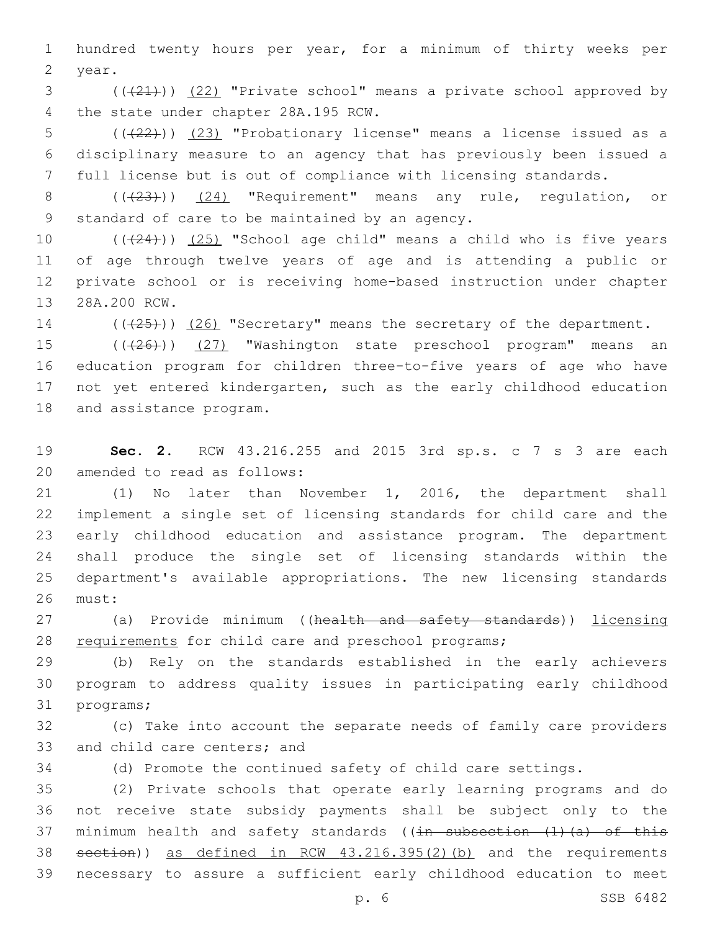1 hundred twenty hours per year, for a minimum of thirty weeks per 2 year.

3 (( $(21)$ )) (22) "Private school" means a private school approved by 4 the state under chapter 28A.195 RCW.

5 (((22))) (23) "Probationary license" means a license issued as a 6 disciplinary measure to an agency that has previously been issued a 7 full license but is out of compliance with licensing standards.

8 (( $(23)$ )) (24) "Requirement" means any rule, regulation, or 9 standard of care to be maintained by an agency.

 $((+24))$   $(25)$  "School age child" means a child who is five years of age through twelve years of age and is attending a public or private school or is receiving home-based instruction under chapter 13 28A.200 RCW.

14 (( $(25)$ )) (26) "Secretary" means the secretary of the department.

15 (( $(26)$ )) (27) "Washington state preschool program" means an 16 education program for children three-to-five years of age who have 17 not yet entered kindergarten, such as the early childhood education 18 and assistance program.

19 **Sec. 2.** RCW 43.216.255 and 2015 3rd sp.s. c 7 s 3 are each 20 amended to read as follows:

 (1) No later than November 1, 2016, the department shall implement a single set of licensing standards for child care and the early childhood education and assistance program. The department shall produce the single set of licensing standards within the department's available appropriations. The new licensing standards 26 must:

27 (a) Provide minimum ((health and safety standards)) licensing 28 requirements for child care and preschool programs;

29 (b) Rely on the standards established in the early achievers 30 program to address quality issues in participating early childhood 31 programs;

32 (c) Take into account the separate needs of family care providers 33 and child care centers; and

34 (d) Promote the continued safety of child care settings.

 (2) Private schools that operate early learning programs and do not receive state subsidy payments shall be subject only to the 37 minimum health and safety standards ( $(in$  subsection  $(1)$   $(a)$  of this section)) as defined in RCW 43.216.395(2)(b) and the requirements necessary to assure a sufficient early childhood education to meet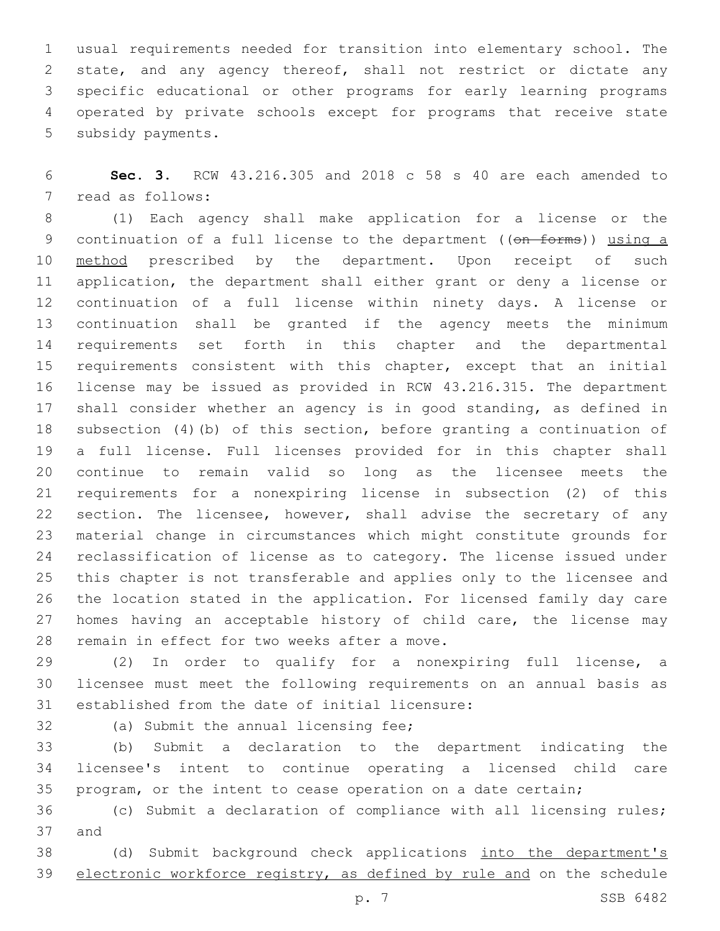usual requirements needed for transition into elementary school. The state, and any agency thereof, shall not restrict or dictate any specific educational or other programs for early learning programs operated by private schools except for programs that receive state 5 subsidy payments.

 **Sec. 3.** RCW 43.216.305 and 2018 c 58 s 40 are each amended to 7 read as follows:

 (1) Each agency shall make application for a license or the 9 continuation of a full license to the department ((on forms)) using a 10 method prescribed by the department. Upon receipt of such application, the department shall either grant or deny a license or continuation of a full license within ninety days. A license or continuation shall be granted if the agency meets the minimum requirements set forth in this chapter and the departmental 15 requirements consistent with this chapter, except that an initial license may be issued as provided in RCW 43.216.315. The department shall consider whether an agency is in good standing, as defined in subsection (4)(b) of this section, before granting a continuation of a full license. Full licenses provided for in this chapter shall continue to remain valid so long as the licensee meets the requirements for a nonexpiring license in subsection (2) of this 22 section. The licensee, however, shall advise the secretary of any material change in circumstances which might constitute grounds for reclassification of license as to category. The license issued under this chapter is not transferable and applies only to the licensee and the location stated in the application. For licensed family day care 27 homes having an acceptable history of child care, the license may 28 remain in effect for two weeks after a move.

 (2) In order to qualify for a nonexpiring full license, a licensee must meet the following requirements on an annual basis as 31 established from the date of initial licensure:

32 (a) Submit the annual licensing fee;

 (b) Submit a declaration to the department indicating the licensee's intent to continue operating a licensed child care program, or the intent to cease operation on a date certain;

 (c) Submit a declaration of compliance with all licensing rules; 37 and

 (d) Submit background check applications into the department's electronic workforce registry, as defined by rule and on the schedule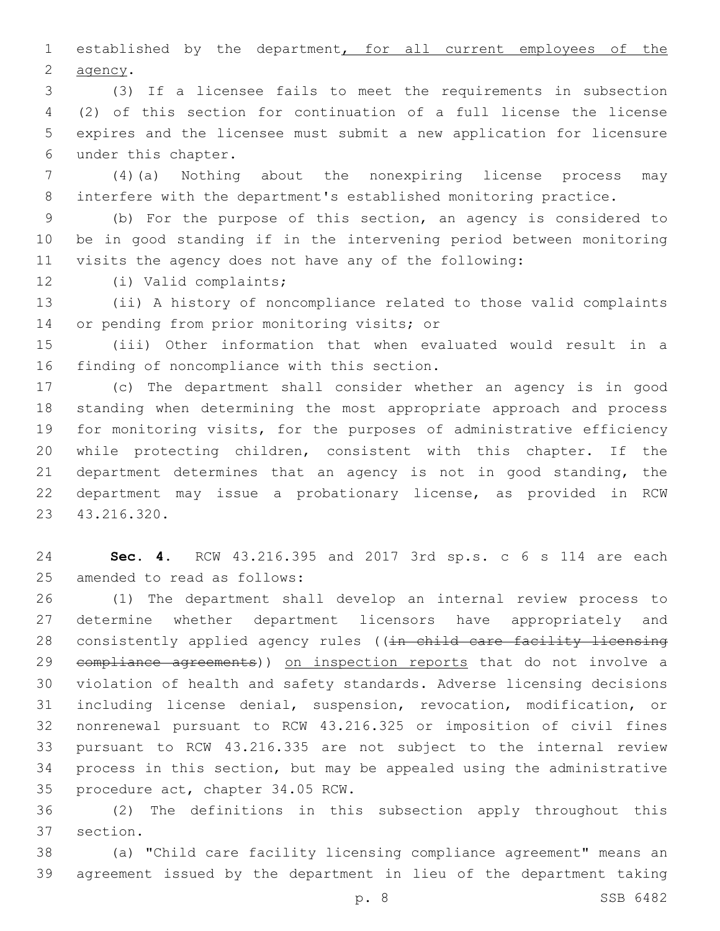established by the department, for all current employees of the 2 agency.

 (3) If a licensee fails to meet the requirements in subsection (2) of this section for continuation of a full license the license expires and the licensee must submit a new application for licensure under this chapter.6

 (4)(a) Nothing about the nonexpiring license process may interfere with the department's established monitoring practice.

 (b) For the purpose of this section, an agency is considered to be in good standing if in the intervening period between monitoring visits the agency does not have any of the following:

12 (i) Valid complaints;

 (ii) A history of noncompliance related to those valid complaints 14 or pending from prior monitoring visits; or

 (iii) Other information that when evaluated would result in a 16 finding of noncompliance with this section.

 (c) The department shall consider whether an agency is in good standing when determining the most appropriate approach and process for monitoring visits, for the purposes of administrative efficiency while protecting children, consistent with this chapter. If the 21 department determines that an agency is not in good standing, the department may issue a probationary license, as provided in RCW 43.216.320.23

 **Sec. 4.** RCW 43.216.395 and 2017 3rd sp.s. c 6 s 114 are each 25 amended to read as follows:

 (1) The department shall develop an internal review process to determine whether department licensors have appropriately and 28 consistently applied agency rules ((in child care facility licensing 29 compliance agreements)) on inspection reports that do not involve a violation of health and safety standards. Adverse licensing decisions including license denial, suspension, revocation, modification, or nonrenewal pursuant to RCW 43.216.325 or imposition of civil fines pursuant to RCW 43.216.335 are not subject to the internal review process in this section, but may be appealed using the administrative 35 procedure act, chapter 34.05 RCW.

 (2) The definitions in this subsection apply throughout this 37 section.

 (a) "Child care facility licensing compliance agreement" means an agreement issued by the department in lieu of the department taking

p. 8 SSB 6482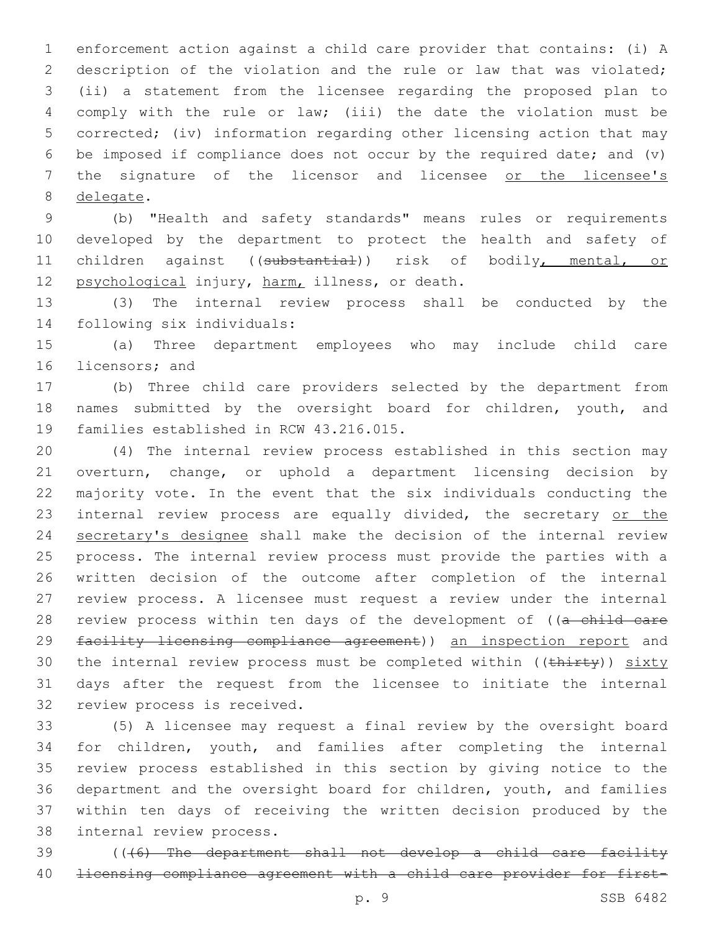enforcement action against a child care provider that contains: (i) A description of the violation and the rule or law that was violated; (ii) a statement from the licensee regarding the proposed plan to comply with the rule or law; (iii) the date the violation must be corrected; (iv) information regarding other licensing action that may be imposed if compliance does not occur by the required date; and (v) 7 the signature of the licensor and licensee or the licensee's 8 delegate.

 (b) "Health and safety standards" means rules or requirements developed by the department to protect the health and safety of children against ((substantial)) risk of bodily, mental, or 12 psychological injury, harm, illness, or death.

 (3) The internal review process shall be conducted by the 14 following six individuals:

 (a) Three department employees who may include child care 16 licensors; and

 (b) Three child care providers selected by the department from names submitted by the oversight board for children, youth, and 19 families established in RCW 43.216.015.

 (4) The internal review process established in this section may overturn, change, or uphold a department licensing decision by majority vote. In the event that the six individuals conducting the 23 internal review process are equally divided, the secretary or the secretary's designee shall make the decision of the internal review process. The internal review process must provide the parties with a written decision of the outcome after completion of the internal review process. A licensee must request a review under the internal 28 review process within ten days of the development of ((a child care 29 facility licensing compliance agreement)) an inspection report and 30 the internal review process must be completed within ((thirty)) sixty days after the request from the licensee to initiate the internal 32 review process is received.

 (5) A licensee may request a final review by the oversight board for children, youth, and families after completing the internal review process established in this section by giving notice to the department and the oversight board for children, youth, and families within ten days of receiving the written decision produced by the 38 internal review process.

 (((6) The department shall not develop a child care facility licensing compliance agreement with a child care provider for first-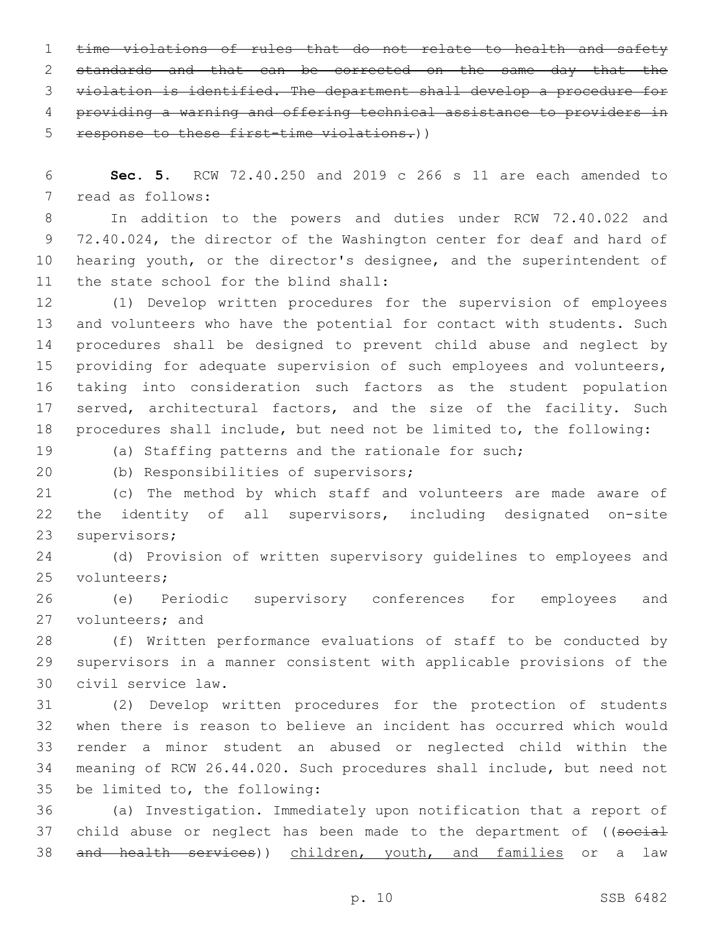1 time violations of rules that do not relate to health and safety 2 standards and that can be corrected on the same day that the violation is identified. The department shall develop a procedure for providing a warning and offering technical assistance to providers in response to these first-time violations.))

 **Sec. 5.** RCW 72.40.250 and 2019 c 266 s 11 are each amended to 7 read as follows:

 In addition to the powers and duties under RCW 72.40.022 and 72.40.024, the director of the Washington center for deaf and hard of hearing youth, or the director's designee, and the superintendent of 11 the state school for the blind shall:

 (1) Develop written procedures for the supervision of employees and volunteers who have the potential for contact with students. Such procedures shall be designed to prevent child abuse and neglect by 15 providing for adequate supervision of such employees and volunteers, taking into consideration such factors as the student population 17 served, architectural factors, and the size of the facility. Such procedures shall include, but need not be limited to, the following:

(a) Staffing patterns and the rationale for such;

20 (b) Responsibilities of supervisors;

 (c) The method by which staff and volunteers are made aware of the identity of all supervisors, including designated on-site 23 supervisors;

 (d) Provision of written supervisory guidelines to employees and 25 volunteers;

 (e) Periodic supervisory conferences for employees and 27 volunteers; and

 (f) Written performance evaluations of staff to be conducted by supervisors in a manner consistent with applicable provisions of the 30 civil service law.

 (2) Develop written procedures for the protection of students when there is reason to believe an incident has occurred which would render a minor student an abused or neglected child within the meaning of RCW 26.44.020. Such procedures shall include, but need not 35 be limited to, the following:

 (a) Investigation. Immediately upon notification that a report of 37 child abuse or neglect has been made to the department of ((social 38 and health services)) children, youth, and families or a law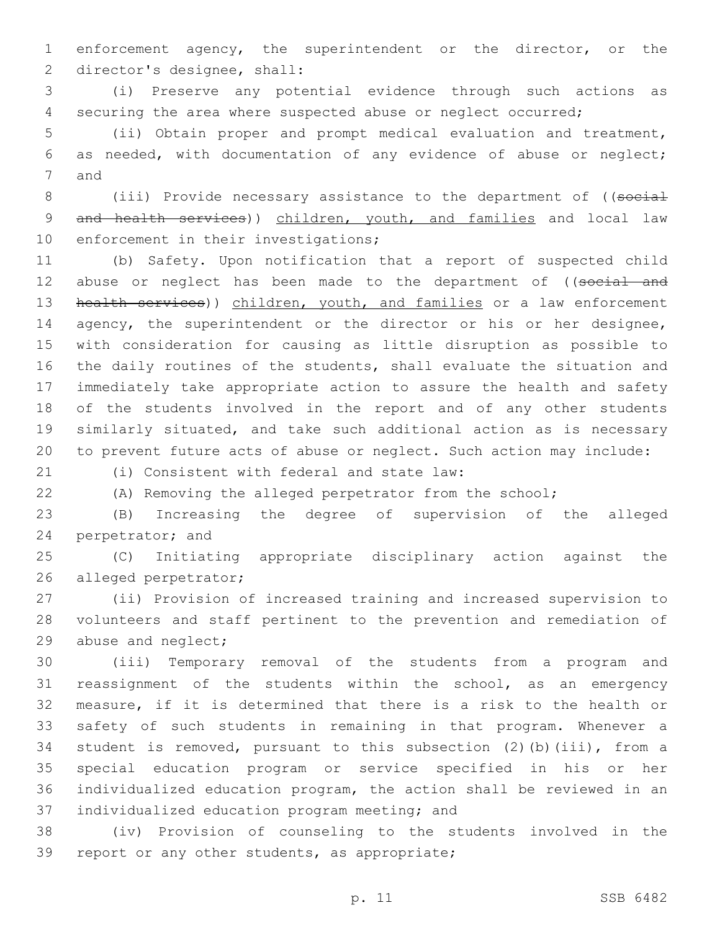enforcement agency, the superintendent or the director, or the 2 director's designee, shall:

 (i) Preserve any potential evidence through such actions as securing the area where suspected abuse or neglect occurred;

 (ii) Obtain proper and prompt medical evaluation and treatment, as needed, with documentation of any evidence of abuse or neglect; 7 and

8 (iii) Provide necessary assistance to the department of ((social 9 and health services)) children, youth, and families and local law 10 enforcement in their investigations;

 (b) Safety. Upon notification that a report of suspected child 12 abuse or neglect has been made to the department of ((social and 13 health services)) children, youth, and families or a law enforcement 14 agency, the superintendent or the director or his or her designee, with consideration for causing as little disruption as possible to the daily routines of the students, shall evaluate the situation and immediately take appropriate action to assure the health and safety of the students involved in the report and of any other students similarly situated, and take such additional action as is necessary to prevent future acts of abuse or neglect. Such action may include:

(i) Consistent with federal and state law:21

(A) Removing the alleged perpetrator from the school;

 (B) Increasing the degree of supervision of the alleged 24 perpetrator; and

 (C) Initiating appropriate disciplinary action against the 26 alleged perpetrator;

 (ii) Provision of increased training and increased supervision to volunteers and staff pertinent to the prevention and remediation of 29 abuse and neglect;

 (iii) Temporary removal of the students from a program and reassignment of the students within the school, as an emergency measure, if it is determined that there is a risk to the health or safety of such students in remaining in that program. Whenever a student is removed, pursuant to this subsection (2)(b)(iii), from a special education program or service specified in his or her individualized education program, the action shall be reviewed in an 37 individualized education program meeting; and

 (iv) Provision of counseling to the students involved in the 39 report or any other students, as appropriate;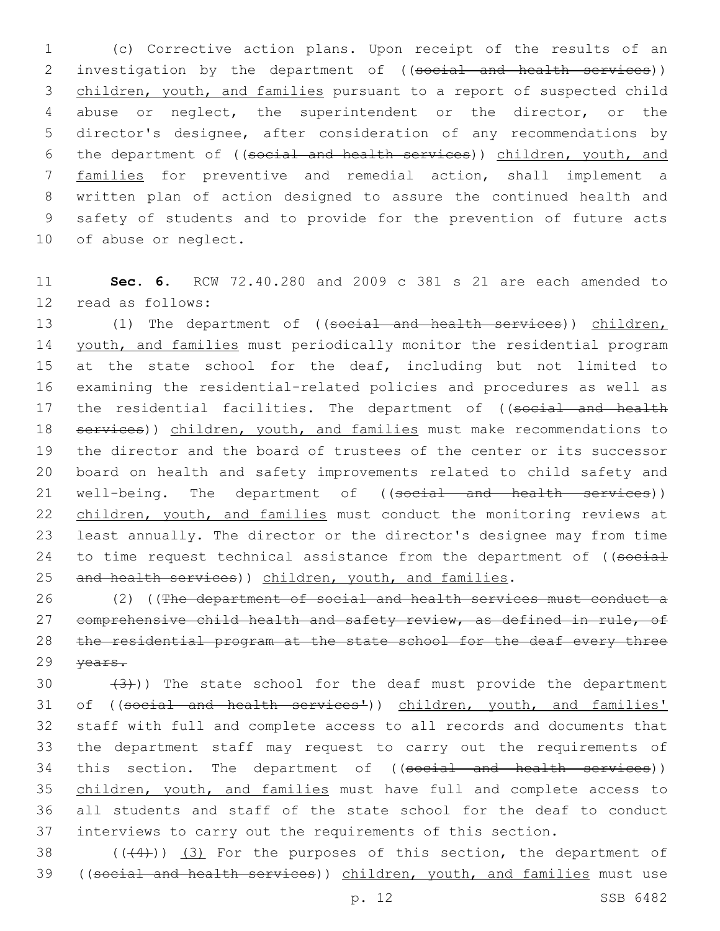(c) Corrective action plans. Upon receipt of the results of an 2 investigation by the department of ((social and health services)) children, youth, and families pursuant to a report of suspected child abuse or neglect, the superintendent or the director, or the director's designee, after consideration of any recommendations by the department of ((social and health services)) children, youth, and families for preventive and remedial action, shall implement a written plan of action designed to assure the continued health and safety of students and to provide for the prevention of future acts 10 of abuse or neglect.

11 **Sec. 6.** RCW 72.40.280 and 2009 c 381 s 21 are each amended to 12 read as follows:

13 (1) The department of ((social and health services)) children, 14 youth, and families must periodically monitor the residential program 15 at the state school for the deaf, including but not limited to 16 examining the residential-related policies and procedures as well as 17 the residential facilities. The department of ((social and health 18 services)) children, youth, and families must make recommendations to 19 the director and the board of trustees of the center or its successor 20 board on health and safety improvements related to child safety and 21 well-being. The department of ((social and health services)) 22 children, youth, and families must conduct the monitoring reviews at 23 least annually. The director or the director's designee may from time 24 to time request technical assistance from the department of ((social 25 and health services)) children, youth, and families.

26 (2) ((The department of social and health services must conduct a 27 comprehensive child health and safety review, as defined in rule, of 28 the residential program at the state school for the deaf every three 29 years.

 $(3)$ )) The state school for the deaf must provide the department 31 of ((social and health services')) children, youth, and families' staff with full and complete access to all records and documents that the department staff may request to carry out the requirements of 34 this section. The department of ((social and health services)) children, youth, and families must have full and complete access to all students and staff of the state school for the deaf to conduct interviews to carry out the requirements of this section.

38  $((+4))$   $(3)$  For the purposes of this section, the department of 39 ((social and health services)) children, youth, and families must use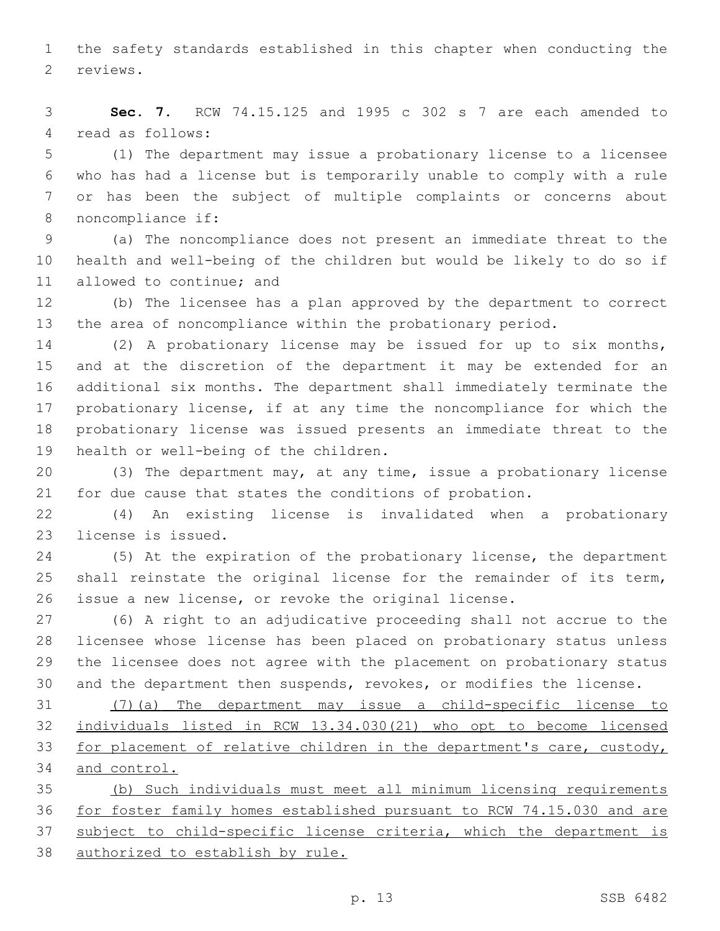the safety standards established in this chapter when conducting the 2 reviews.

 **Sec. 7.** RCW 74.15.125 and 1995 c 302 s 7 are each amended to 4 read as follows:

 (1) The department may issue a probationary license to a licensee who has had a license but is temporarily unable to comply with a rule or has been the subject of multiple complaints or concerns about 8 noncompliance if:

 (a) The noncompliance does not present an immediate threat to the health and well-being of the children but would be likely to do so if 11 allowed to continue; and

 (b) The licensee has a plan approved by the department to correct the area of noncompliance within the probationary period.

 (2) A probationary license may be issued for up to six months, and at the discretion of the department it may be extended for an additional six months. The department shall immediately terminate the probationary license, if at any time the noncompliance for which the probationary license was issued presents an immediate threat to the 19 health or well-being of the children.

 (3) The department may, at any time, issue a probationary license for due cause that states the conditions of probation.

 (4) An existing license is invalidated when a probationary 23 license is issued.

 (5) At the expiration of the probationary license, the department shall reinstate the original license for the remainder of its term, issue a new license, or revoke the original license.

 (6) A right to an adjudicative proceeding shall not accrue to the licensee whose license has been placed on probationary status unless the licensee does not agree with the placement on probationary status and the department then suspends, revokes, or modifies the license.

 (7)(a) The department may issue a child-specific license to individuals listed in RCW 13.34.030(21) who opt to become licensed for placement of relative children in the department's care, custody, and control.

 (b) Such individuals must meet all minimum licensing requirements for foster family homes established pursuant to RCW 74.15.030 and are subject to child-specific license criteria, which the department is authorized to establish by rule.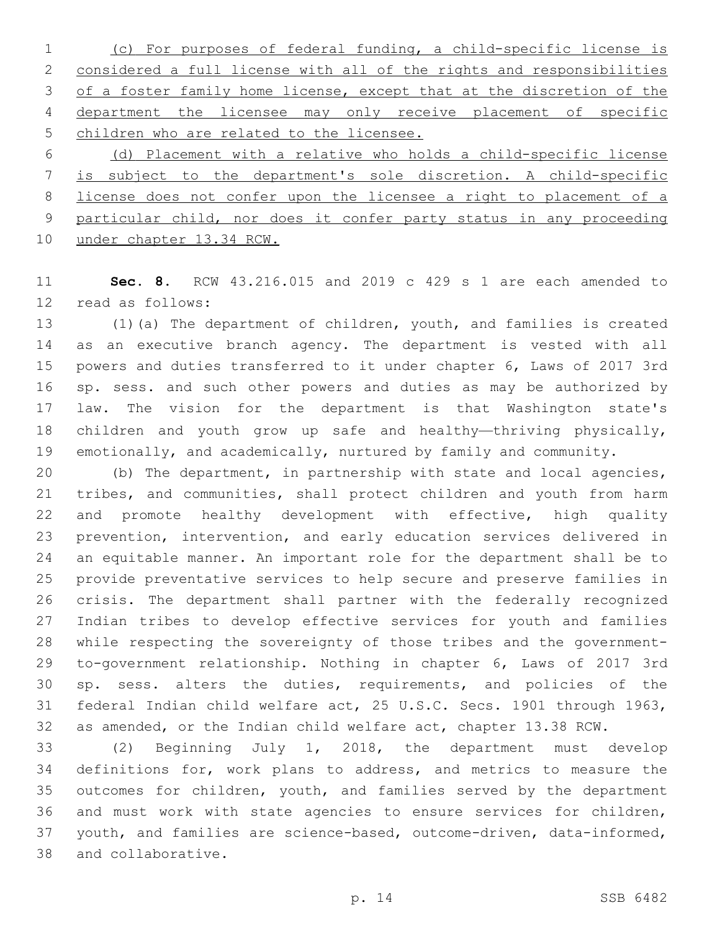(c) For purposes of federal funding, a child-specific license is considered a full license with all of the rights and responsibilities of a foster family home license, except that at the discretion of the department the licensee may only receive placement of specific children who are related to the licensee.

 (d) Placement with a relative who holds a child-specific license is subject to the department's sole discretion. A child-specific license does not confer upon the licensee a right to placement of a particular child, nor does it confer party status in any proceeding under chapter 13.34 RCW.

 **Sec. 8.** RCW 43.216.015 and 2019 c 429 s 1 are each amended to 12 read as follows:

 (1)(a) The department of children, youth, and families is created as an executive branch agency. The department is vested with all powers and duties transferred to it under chapter 6, Laws of 2017 3rd sp. sess. and such other powers and duties as may be authorized by law. The vision for the department is that Washington state's children and youth grow up safe and healthy—thriving physically, emotionally, and academically, nurtured by family and community.

 (b) The department, in partnership with state and local agencies, tribes, and communities, shall protect children and youth from harm 22 and promote healthy development with effective, high quality prevention, intervention, and early education services delivered in an equitable manner. An important role for the department shall be to provide preventative services to help secure and preserve families in crisis. The department shall partner with the federally recognized Indian tribes to develop effective services for youth and families while respecting the sovereignty of those tribes and the government- to-government relationship. Nothing in chapter 6, Laws of 2017 3rd sp. sess. alters the duties, requirements, and policies of the federal Indian child welfare act, 25 U.S.C. Secs. 1901 through 1963, as amended, or the Indian child welfare act, chapter 13.38 RCW.

 (2) Beginning July 1, 2018, the department must develop definitions for, work plans to address, and metrics to measure the outcomes for children, youth, and families served by the department and must work with state agencies to ensure services for children, youth, and families are science-based, outcome-driven, data-informed, 38 and collaborative.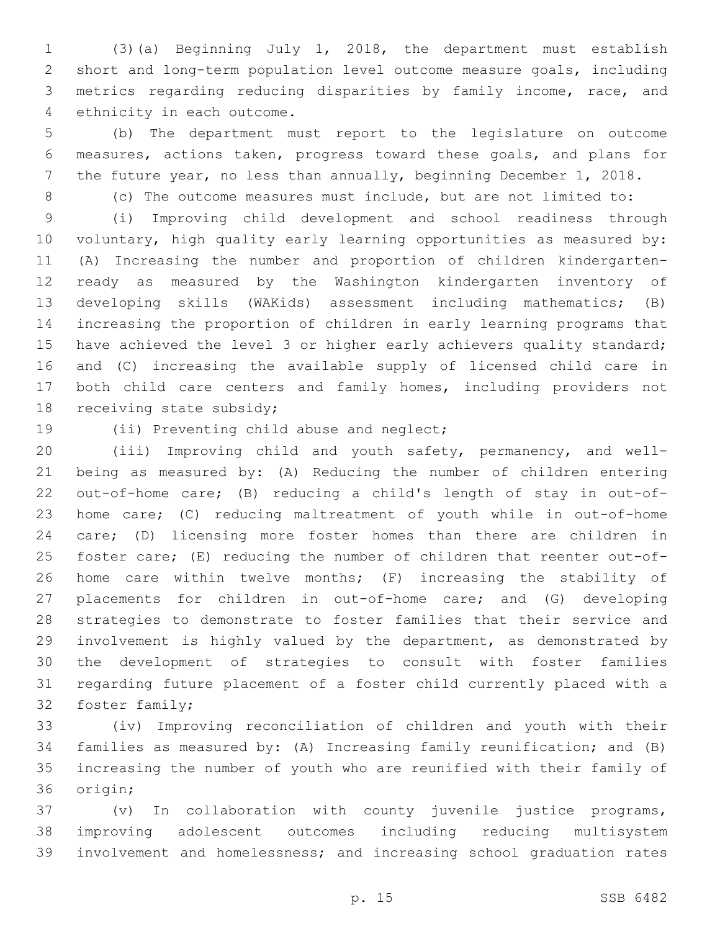(3)(a) Beginning July 1, 2018, the department must establish short and long-term population level outcome measure goals, including metrics regarding reducing disparities by family income, race, and 4 ethnicity in each outcome.

 (b) The department must report to the legislature on outcome measures, actions taken, progress toward these goals, and plans for the future year, no less than annually, beginning December 1, 2018.

(c) The outcome measures must include, but are not limited to:

 (i) Improving child development and school readiness through voluntary, high quality early learning opportunities as measured by: (A) Increasing the number and proportion of children kindergarten- ready as measured by the Washington kindergarten inventory of developing skills (WAKids) assessment including mathematics; (B) increasing the proportion of children in early learning programs that 15 have achieved the level 3 or higher early achievers quality standard; and (C) increasing the available supply of licensed child care in both child care centers and family homes, including providers not 18 receiving state subsidy;

19 (ii) Preventing child abuse and neglect;

 (iii) Improving child and youth safety, permanency, and well- being as measured by: (A) Reducing the number of children entering out-of-home care; (B) reducing a child's length of stay in out-of- home care; (C) reducing maltreatment of youth while in out-of-home care; (D) licensing more foster homes than there are children in foster care; (E) reducing the number of children that reenter out-of- home care within twelve months; (F) increasing the stability of placements for children in out-of-home care; and (G) developing strategies to demonstrate to foster families that their service and involvement is highly valued by the department, as demonstrated by the development of strategies to consult with foster families regarding future placement of a foster child currently placed with a 32 foster family;

 (iv) Improving reconciliation of children and youth with their families as measured by: (A) Increasing family reunification; and (B) increasing the number of youth who are reunified with their family of 36 origin;

 (v) In collaboration with county juvenile justice programs, improving adolescent outcomes including reducing multisystem involvement and homelessness; and increasing school graduation rates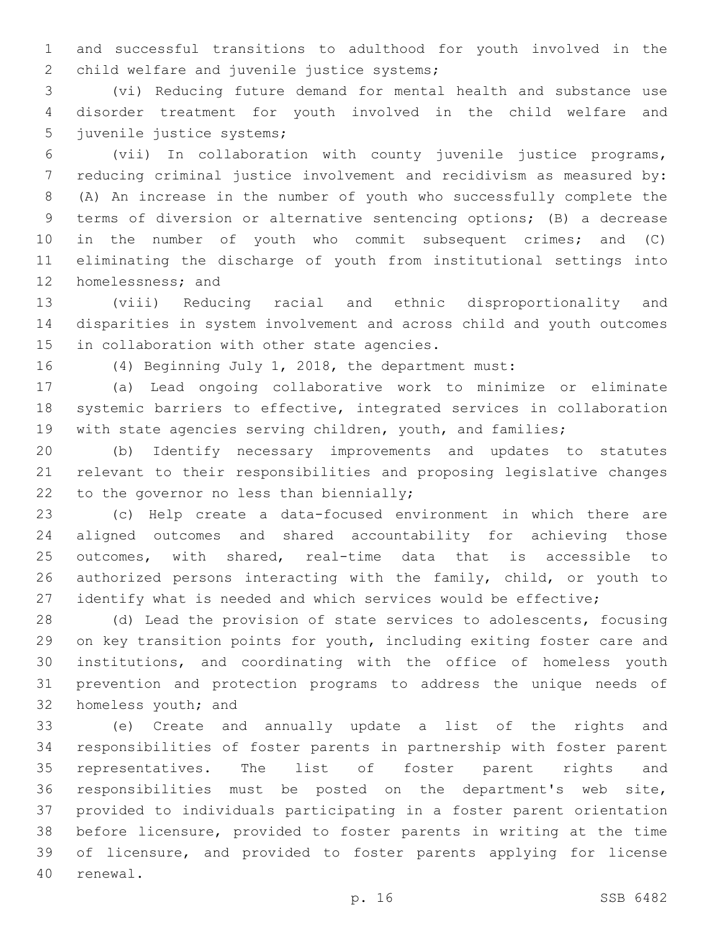and successful transitions to adulthood for youth involved in the 2 child welfare and juvenile justice systems;

 (vi) Reducing future demand for mental health and substance use disorder treatment for youth involved in the child welfare and 5 juvenile justice systems;

 (vii) In collaboration with county juvenile justice programs, reducing criminal justice involvement and recidivism as measured by: (A) An increase in the number of youth who successfully complete the terms of diversion or alternative sentencing options; (B) a decrease in the number of youth who commit subsequent crimes; and (C) eliminating the discharge of youth from institutional settings into 12 homelessness; and

 (viii) Reducing racial and ethnic disproportionality and disparities in system involvement and across child and youth outcomes 15 in collaboration with other state agencies.

(4) Beginning July 1, 2018, the department must:

 (a) Lead ongoing collaborative work to minimize or eliminate systemic barriers to effective, integrated services in collaboration 19 with state agencies serving children, youth, and families;

 (b) Identify necessary improvements and updates to statutes relevant to their responsibilities and proposing legislative changes 22 to the governor no less than biennially;

 (c) Help create a data-focused environment in which there are aligned outcomes and shared accountability for achieving those outcomes, with shared, real-time data that is accessible to 26 authorized persons interacting with the family, child, or youth to identify what is needed and which services would be effective;

 (d) Lead the provision of state services to adolescents, focusing on key transition points for youth, including exiting foster care and institutions, and coordinating with the office of homeless youth prevention and protection programs to address the unique needs of 32 homeless youth; and

 (e) Create and annually update a list of the rights and responsibilities of foster parents in partnership with foster parent representatives. The list of foster parent rights and responsibilities must be posted on the department's web site, provided to individuals participating in a foster parent orientation before licensure, provided to foster parents in writing at the time of licensure, and provided to foster parents applying for license 40 renewal.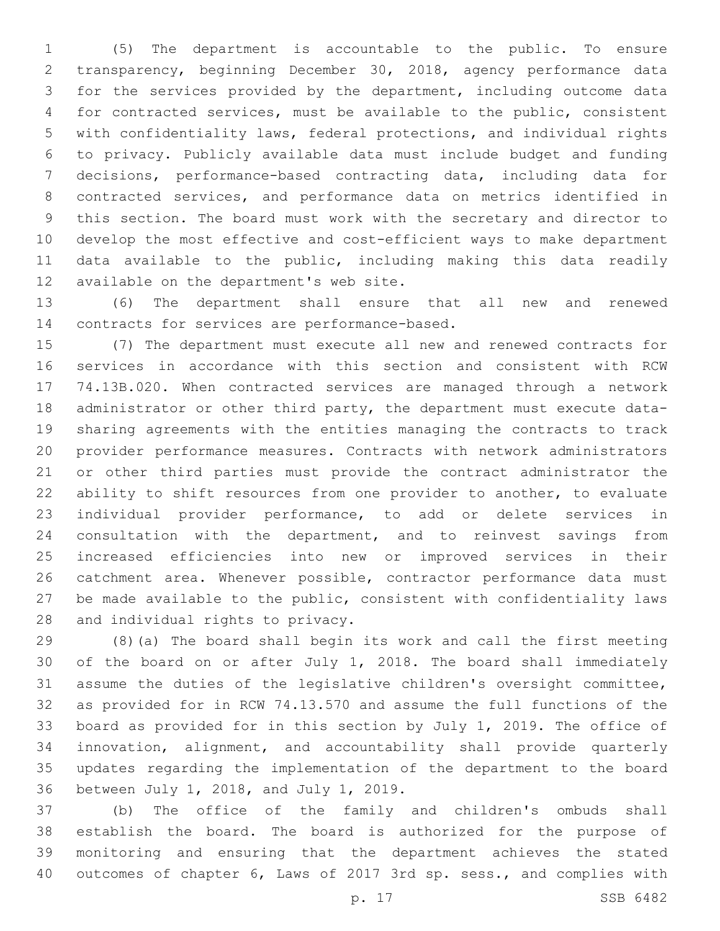(5) The department is accountable to the public. To ensure transparency, beginning December 30, 2018, agency performance data for the services provided by the department, including outcome data for contracted services, must be available to the public, consistent with confidentiality laws, federal protections, and individual rights to privacy. Publicly available data must include budget and funding decisions, performance-based contracting data, including data for contracted services, and performance data on metrics identified in this section. The board must work with the secretary and director to develop the most effective and cost-efficient ways to make department data available to the public, including making this data readily 12 available on the department's web site.

 (6) The department shall ensure that all new and renewed 14 contracts for services are performance-based.

 (7) The department must execute all new and renewed contracts for services in accordance with this section and consistent with RCW 74.13B.020. When contracted services are managed through a network administrator or other third party, the department must execute data- sharing agreements with the entities managing the contracts to track provider performance measures. Contracts with network administrators or other third parties must provide the contract administrator the ability to shift resources from one provider to another, to evaluate individual provider performance, to add or delete services in consultation with the department, and to reinvest savings from increased efficiencies into new or improved services in their catchment area. Whenever possible, contractor performance data must be made available to the public, consistent with confidentiality laws 28 and individual rights to privacy.

 (8)(a) The board shall begin its work and call the first meeting of the board on or after July 1, 2018. The board shall immediately assume the duties of the legislative children's oversight committee, as provided for in RCW 74.13.570 and assume the full functions of the board as provided for in this section by July 1, 2019. The office of innovation, alignment, and accountability shall provide quarterly updates regarding the implementation of the department to the board 36 between July 1, 2018, and July 1, 2019.

 (b) The office of the family and children's ombuds shall establish the board. The board is authorized for the purpose of monitoring and ensuring that the department achieves the stated outcomes of chapter 6, Laws of 2017 3rd sp. sess., and complies with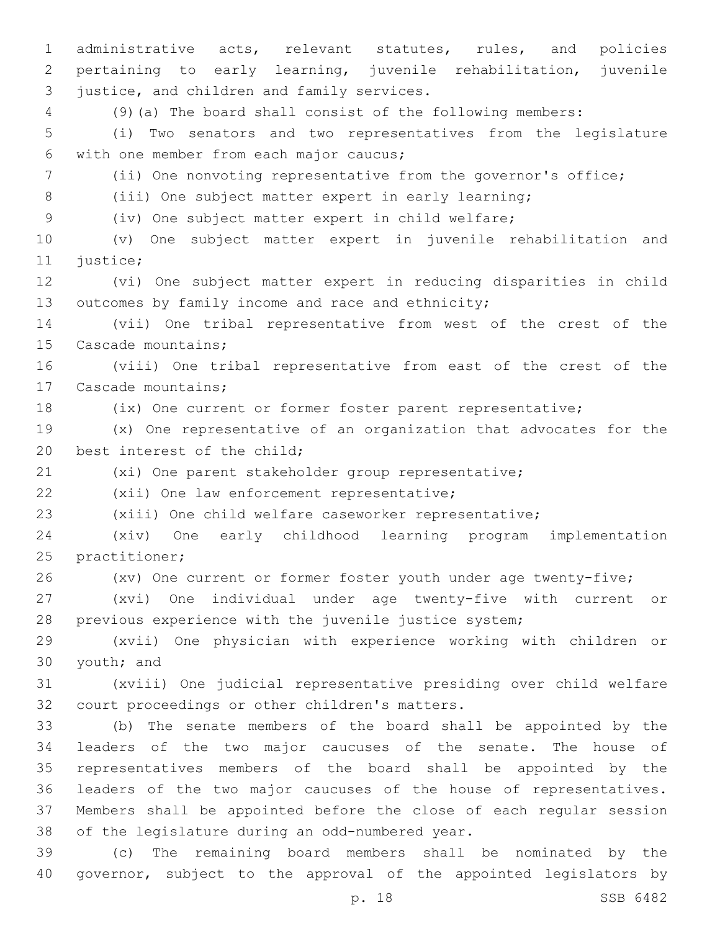administrative acts, relevant statutes, rules, and policies pertaining to early learning, juvenile rehabilitation, juvenile 3 justice, and children and family services. (9)(a) The board shall consist of the following members: (i) Two senators and two representatives from the legislature with one member from each major caucus;6 (ii) One nonvoting representative from the governor's office; (iii) One subject matter expert in early learning; (iv) One subject matter expert in child welfare; (v) One subject matter expert in juvenile rehabilitation and 11 justice; (vi) One subject matter expert in reducing disparities in child 13 outcomes by family income and race and ethnicity; (vii) One tribal representative from west of the crest of the 15 Cascade mountains; (viii) One tribal representative from east of the crest of the 17 Cascade mountains; (ix) One current or former foster parent representative; (x) One representative of an organization that advocates for the 20 best interest of the child; (xi) One parent stakeholder group representative; 22 (xii) One law enforcement representative; (xiii) One child welfare caseworker representative; (xiv) One early childhood learning program implementation 25 practitioner; (xv) One current or former foster youth under age twenty-five; (xvi) One individual under age twenty-five with current or previous experience with the juvenile justice system; (xvii) One physician with experience working with children or 30 youth; and (xviii) One judicial representative presiding over child welfare 32 court proceedings or other children's matters. (b) The senate members of the board shall be appointed by the leaders of the two major caucuses of the senate. The house of representatives members of the board shall be appointed by the leaders of the two major caucuses of the house of representatives. Members shall be appointed before the close of each regular session 38 of the legislature during an odd-numbered year. (c) The remaining board members shall be nominated by the governor, subject to the approval of the appointed legislators by

p. 18 SSB 6482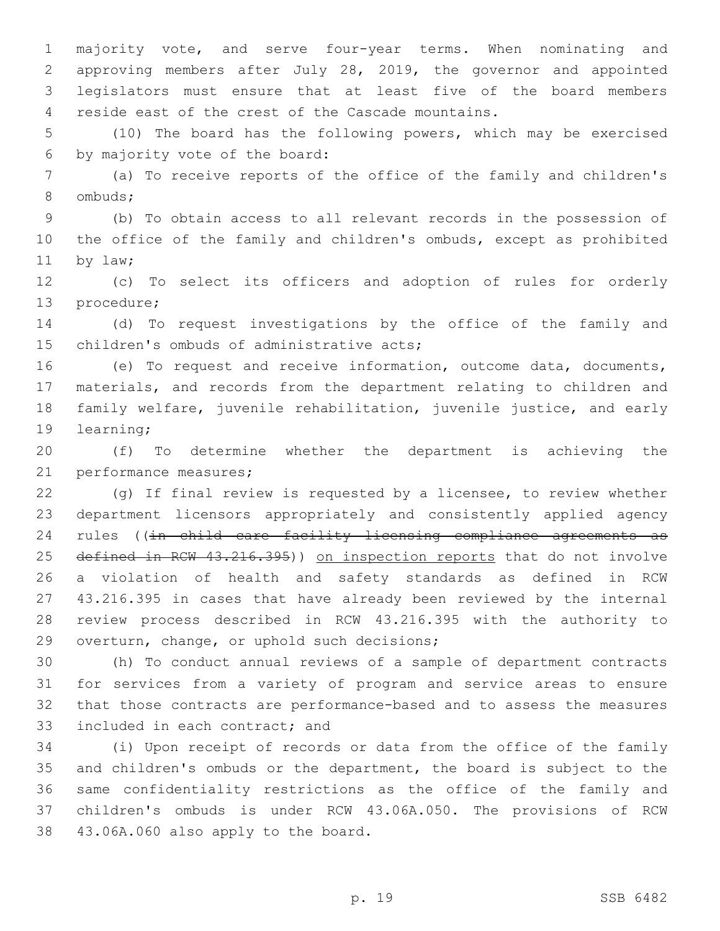majority vote, and serve four-year terms. When nominating and approving members after July 28, 2019, the governor and appointed legislators must ensure that at least five of the board members 4 reside east of the crest of the Cascade mountains.

 (10) The board has the following powers, which may be exercised 6 by majority vote of the board:

 (a) To receive reports of the office of the family and children's 8 ombuds;

 (b) To obtain access to all relevant records in the possession of the office of the family and children's ombuds, except as prohibited 11 by law;

 (c) To select its officers and adoption of rules for orderly 13 procedure;

 (d) To request investigations by the office of the family and 15 children's ombuds of administrative acts;

 (e) To request and receive information, outcome data, documents, materials, and records from the department relating to children and family welfare, juvenile rehabilitation, juvenile justice, and early 19 learning;

 (f) To determine whether the department is achieving the 21 performance measures;

 (g) If final review is requested by a licensee, to review whether department licensors appropriately and consistently applied agency 24 rules ((in child care facility licensing compliance agreements as 25 defined in RCW 43.216.395)) on inspection reports that do not involve a violation of health and safety standards as defined in RCW 43.216.395 in cases that have already been reviewed by the internal review process described in RCW 43.216.395 with the authority to 29 overturn, change, or uphold such decisions;

 (h) To conduct annual reviews of a sample of department contracts for services from a variety of program and service areas to ensure that those contracts are performance-based and to assess the measures 33 included in each contract; and

 (i) Upon receipt of records or data from the office of the family and children's ombuds or the department, the board is subject to the same confidentiality restrictions as the office of the family and children's ombuds is under RCW 43.06A.050. The provisions of RCW 38 43.06A.060 also apply to the board.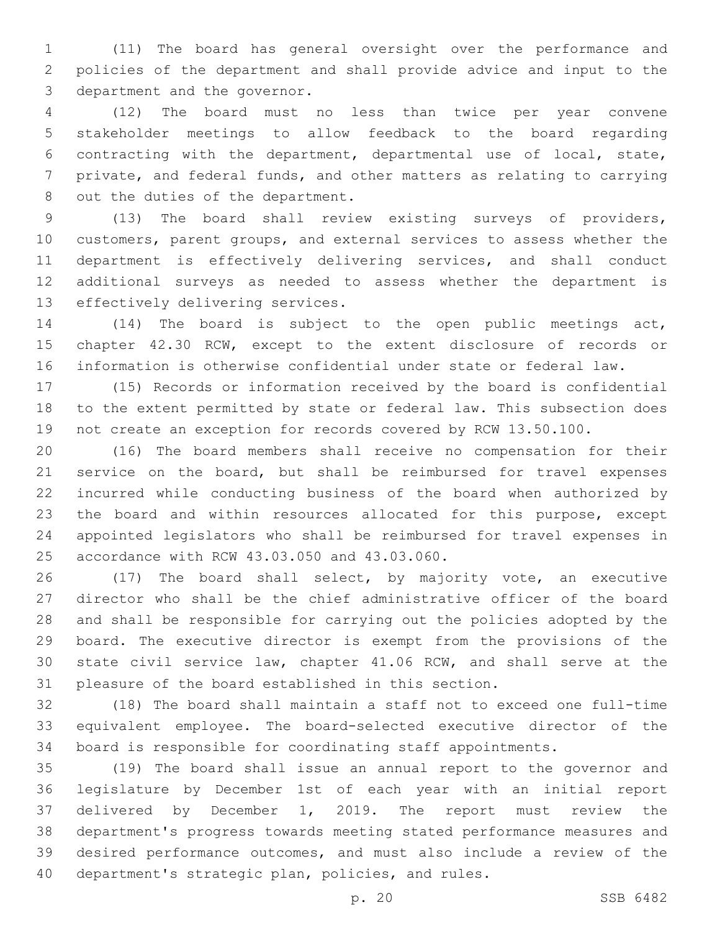(11) The board has general oversight over the performance and policies of the department and shall provide advice and input to the 3 department and the governor.

 (12) The board must no less than twice per year convene stakeholder meetings to allow feedback to the board regarding contracting with the department, departmental use of local, state, private, and federal funds, and other matters as relating to carrying 8 out the duties of the department.

 (13) The board shall review existing surveys of providers, customers, parent groups, and external services to assess whether the department is effectively delivering services, and shall conduct additional surveys as needed to assess whether the department is 13 effectively delivering services.

 (14) The board is subject to the open public meetings act, chapter 42.30 RCW, except to the extent disclosure of records or information is otherwise confidential under state or federal law.

 (15) Records or information received by the board is confidential to the extent permitted by state or federal law. This subsection does not create an exception for records covered by RCW 13.50.100.

 (16) The board members shall receive no compensation for their service on the board, but shall be reimbursed for travel expenses incurred while conducting business of the board when authorized by the board and within resources allocated for this purpose, except appointed legislators who shall be reimbursed for travel expenses in 25 accordance with RCW 43.03.050 and 43.03.060.

 (17) The board shall select, by majority vote, an executive director who shall be the chief administrative officer of the board and shall be responsible for carrying out the policies adopted by the board. The executive director is exempt from the provisions of the state civil service law, chapter 41.06 RCW, and shall serve at the pleasure of the board established in this section.

 (18) The board shall maintain a staff not to exceed one full-time equivalent employee. The board-selected executive director of the board is responsible for coordinating staff appointments.

 (19) The board shall issue an annual report to the governor and legislature by December 1st of each year with an initial report delivered by December 1, 2019. The report must review the department's progress towards meeting stated performance measures and desired performance outcomes, and must also include a review of the 40 department's strategic plan, policies, and rules.